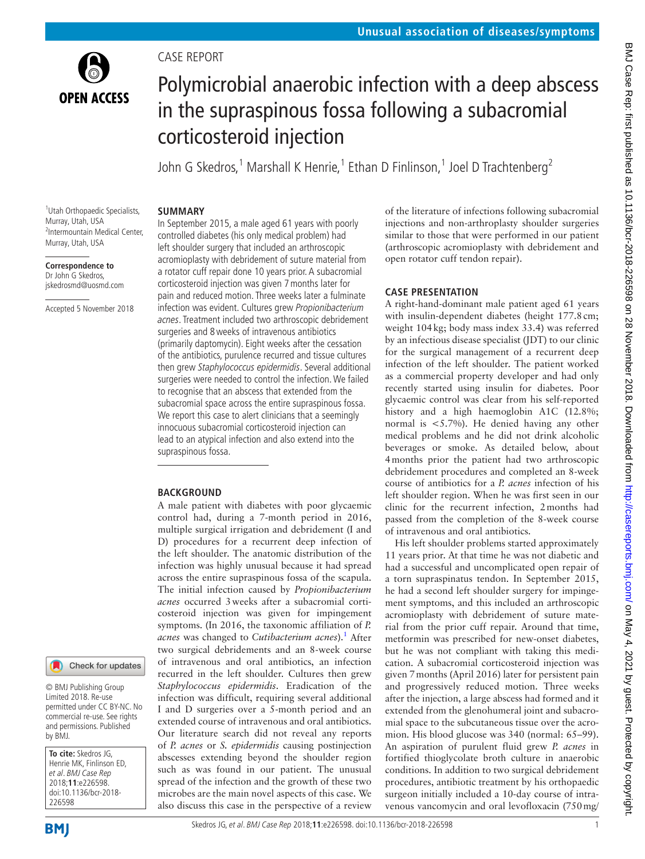

# Polymicrobial anaerobic infection with a deep abscess in the supraspinous fossa following a subacromial corticosteroid injection

John G Skedros,<sup>1</sup> Marshall K Henrie,<sup>1</sup> Ethan D Finlinson,<sup>1</sup> Joel D Trachtenberg<sup>2</sup>

#### 1 Utah Orthopaedic Specialists, Murray, Utah, USA 2 Intermountain Medical Center, Murray, Utah, USA

#### **Correspondence to** Dr John G Skedros, jskedrosmd@uosmd.com

Accepted 5 November 2018

In September 2015, a male aged 61 years with poorly controlled diabetes (his only medical problem) had left shoulder surgery that included an arthroscopic acromioplasty with debridement of suture material from a rotator cuff repair done 10 years prior. A subacromial corticosteroid injection was given 7months later for pain and reduced motion. Three weeks later a fulminate infection was evident. Cultures grew Propionibacterium acnes. Treatment included two arthroscopic debridement surgeries and 8weeks of intravenous antibiotics (primarily daptomycin). Eight weeks after the cessation of the antibiotics, purulence recurred and tissue cultures then grew Staphylococcus epidermidis. Several additional surgeries were needed to control the infection. We failed to recognise that an abscess that extended from the subacromial space across the entire supraspinous fossa. We report this case to alert clinicians that a seemingly innocuous subacromial corticosteroid injection can lead to an atypical infection and also extend into the supraspinous fossa.

## **BACKGROUND**

Case report

**Summary**

A male patient with diabetes with poor glycaemic control had, during a 7-month period in 2016, multiple surgical irrigation and debridement (I and D) procedures for a recurrent deep infection of the left shoulder. The anatomic distribution of the infection was highly unusual because it had spread across the entire supraspinous fossa of the scapula. The initial infection caused by *Propionibacterium acnes* occurred 3weeks after a subacromial corticosteroid injection was given for impingement symptoms. (In 2016, the taxonomic affiliation of *P. acnes* was changed to *Cutibacterium acnes*)[.1](#page-4-0) After two surgical debridements and an 8-week course of intravenous and oral antibiotics, an infection recurred in the left shoulder. Cultures then grew *Staphylococcus epidermidis*. Eradication of the infection was difficult, requiring several additional I and D surgeries over a 5-month period and an extended course of intravenous and oral antibiotics. Our literature search did not reveal any reports of *P. acnes* or *S. epidermidis* causing postinjection abscesses extending beyond the shoulder region such as was found in our patient. The unusual spread of the infection and the growth of these two microbes are the main novel aspects of this case. We also discuss this case in the perspective of a review

of the literature of infections following subacromial injections and non-arthroplasty shoulder surgeries similar to those that were performed in our patient (arthroscopic acromioplasty with debridement and open rotator cuff tendon repair).

# **Case presentation**

A right-hand-dominant male patient aged 61 years with insulin-dependent diabetes (height 177.8cm; weight 104kg; body mass index 33.4) was referred by an infectious disease specialist (JDT) to our clinic for the surgical management of a recurrent deep infection of the left shoulder. The patient worked as a commercial property developer and had only recently started using insulin for diabetes. Poor glycaemic control was clear from his self-reported history and a high haemoglobin A1C (12.8%; normal is <5.7%). He denied having any other medical problems and he did not drink alcoholic beverages or smoke. As detailed below, about 4months prior the patient had two arthroscopic debridement procedures and completed an 8-week course of antibiotics for a *P. acnes* infection of his left shoulder region. When he was first seen in our clinic for the recurrent infection, 2months had passed from the completion of the 8-week course of intravenous and oral antibiotics.

His left shoulder problems started approximately 11 years prior. At that time he was not diabetic and had a successful and uncomplicated open repair of a torn supraspinatus tendon. In September 2015, he had a second left shoulder surgery for impingement symptoms, and this included an arthroscopic acromioplasty with debridement of suture material from the prior cuff repair. Around that time, metformin was prescribed for new-onset diabetes, but he was not compliant with taking this medication. A subacromial corticosteroid injection was given 7months (April 2016) later for persistent pain and progressively reduced motion. Three weeks after the injection, a large abscess had formed and it extended from the glenohumeral joint and subacromial space to the subcutaneous tissue over the acromion. His blood glucose was 340 (normal: 65–99). An aspiration of purulent fluid grew *P. acnes* in fortified thioglycolate broth culture in anaerobic conditions. In addition to two surgical debridement procedures, antibiotic treatment by his orthopaedic surgeon initially included a 10-day course of intravenous vancomycin and oral levofloxacin (750mg/

226598

by BMJ.

**To cite:** Skedros JG, Henrie MK, Finlinson ED, et al. BMJ Case Rep 2018;**11**:e226598. doi:10.1136/bcr-2018-

© BMJ Publishing Group Limited 2018. Re-use permitted under CC BY-NC. No commercial re-use. See rights and permissions. Published

Check for updates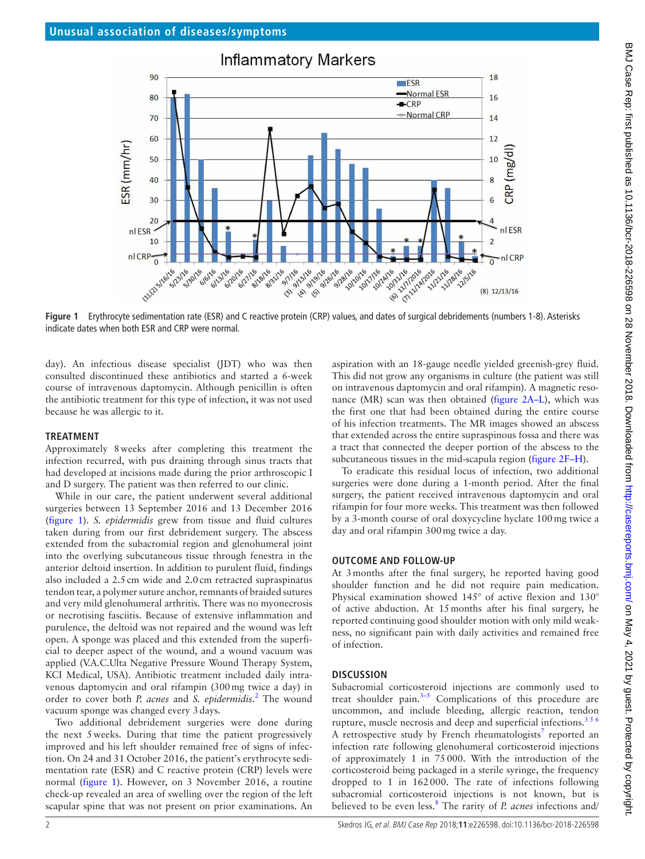

<span id="page-1-0"></span>**Figure 1** Erythrocyte sedimentation rate (ESR) and C reactive protein (CRP) values, and dates of surgical debridements (numbers 1-8). Asterisks indicate dates when both ESR and CRP were normal.

day). An infectious disease specialist (JDT) who was then consulted discontinued these antibiotics and started a 6-week course of intravenous daptomycin. Although penicillin is often the antibiotic treatment for this type of infection, it was not used because he was allergic to it.

#### **Treatment**

Approximately 8weeks after completing this treatment the infection recurred, with pus draining through sinus tracts that had developed at incisions made during the prior arthroscopic I and D surgery. The patient was then referred to our clinic.

While in our care, the patient underwent several additional surgeries between 13 September 2016 and 13 December 2016 ([figure](#page-1-0) 1). *S. epidermidis* grew from tissue and fluid cultures taken during from our first debridement surgery. The abscess extended from the subacromial region and glenohumeral joint into the overlying subcutaneous tissue through fenestra in the anterior deltoid insertion. In addition to purulent fluid, findings also included a 2.5cm wide and 2.0cm retracted supraspinatus tendon tear, a polymer suture anchor, remnants of braided sutures and very mild glenohumeral arthritis. There was no myonecrosis or necrotising fasciitis. Because of extensive inflammation and purulence, the deltoid was not repaired and the wound was left open. A sponge was placed and this extended from the superficial to deeper aspect of the wound, and a wound vacuum was applied (V.A.C.Ulta Negative Pressure Wound Therapy System, KCI Medical, USA). Antibiotic treatment included daily intravenous daptomycin and oral rifampin (300mg twice a day) in order to cover both *P. acnes* and *S. epidermidis*. [2](#page-4-1) The wound vacuum sponge was changed every 3days.

Two additional debridement surgeries were done during the next 5weeks. During that time the patient progressively improved and his left shoulder remained free of signs of infection. On 24 and 31 October 2016, the patient's erythrocyte sedimentation rate (ESR) and C reactive protein (CRP) levels were normal ([figure](#page-1-0) 1). However, on 3 November 2016, a routine check-up revealed an area of swelling over the region of the left scapular spine that was not present on prior examinations. An

aspiration with an 18-gauge needle yielded greenish-grey fluid. This did not grow any organisms in culture (the patient was still on intravenous daptomycin and oral rifampin). A magnetic resonance (MR) scan was then obtained [\(figure](#page-2-0) 2A–L), which was the first one that had been obtained during the entire course of his infection treatments. The MR images showed an abscess that extended across the entire supraspinous fossa and there was a tract that connected the deeper portion of the abscess to the subcutaneous tissues in the mid-scapula region [\(figure](#page-2-0) 2F–H).

To eradicate this residual locus of infection, two additional surgeries were done during a 1-month period. After the final surgery, the patient received intravenous daptomycin and oral rifampin for four more weeks. This treatment was then followed by a 3-month course of oral doxycycline hyclate 100mg twice a day and oral rifampin 300mg twice a day.

#### **Outcome and follow-up**

At 3months after the final surgery, he reported having good shoulder function and he did not require pain medication. Physical examination showed 145° of active flexion and 130° of active abduction. At 15months after his final surgery, he reported continuing good shoulder motion with only mild weakness, no significant pain with daily activities and remained free of infection.

## **Discussion**

Subacromial corticosteroid injections are commonly used to treat shoulder pain. $3-5$  Complications of this procedure are uncommon, and include bleeding, allergic reaction, tendon rupture, muscle necrosis and deep and superficial infections.<sup>356</sup> A retrospective study by French rheumatologists<sup>[7](#page-4-3)</sup> reported an infection rate following glenohumeral corticosteroid injections of approximately 1 in 75000. With the introduction of the corticosteroid being packaged in a sterile syringe, the frequency dropped to 1 in 162000. The rate of infections following subacromial corticosteroid injections is not known, but is believed to be even less.[8](#page-4-4) The rarity of *P. acnes* infections and/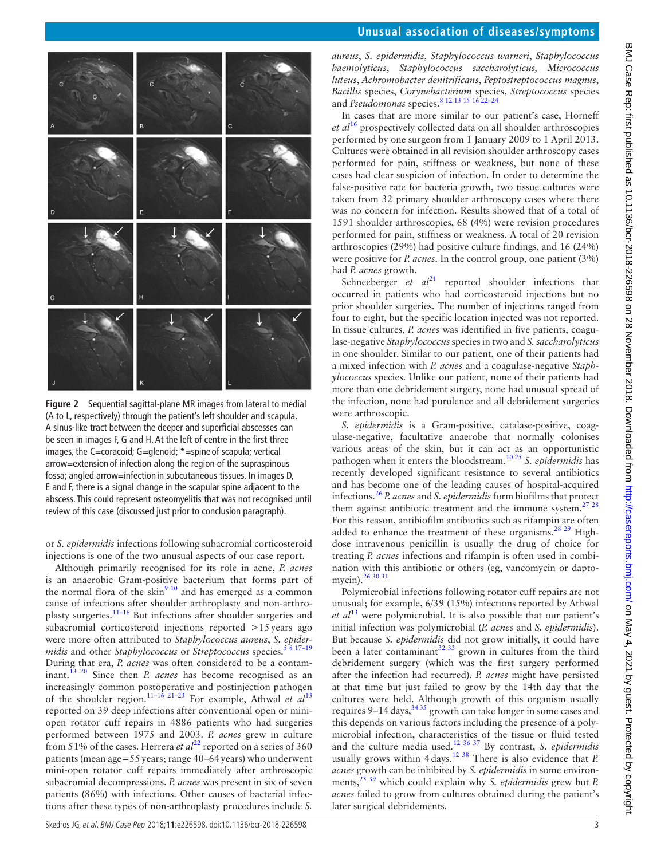

<span id="page-2-0"></span>**Figure 2** Sequential sagittal-plane MR images from lateral to medial (A to L, respectively) through the patient's left shoulder and scapula. A sinus-like tract between the deeper and superficial abscesses can be seen in images F, G and H. At the left of centre in the first three images, the C=coracoid; G=glenoid; **\***=spine of scapula; vertical arrow=extension of infection along the region of the supraspinous fossa; angled arrow=infection in subcutaneous tissues. In images D, E and F, there is a signal change in the scapular spine adjacent to the abscess. This could represent osteomyelitis that was not recognised until review of this case (discussed just prior to conclusion paragraph).

or *S. epidermidis* infections following subacromial corticosteroid injections is one of the two unusual aspects of our case report.

Although primarily recognised for its role in acne, *P. acnes* is an anaerobic Gram-positive bacterium that forms part of the normal flora of the skin $910$  and has emerged as a common cause of infections after shoulder arthroplasty and non-arthroplasty surgeries.[11–16](#page-4-6) But infections after shoulder surgeries and subacromial corticosteroid injections reported >15 years ago were more often attributed to *Staphylococcus aureus*, *S. epidermidis* and other *Staphylococcus* or *Streptococcus* species.<sup>5 8 17-19</sup> During that era, *P. acnes* was often considered to be a contaminant.[13 20](#page-4-8) Since then *P. acnes* has become recognised as an increasingly common postoperative and postinjection pathogen of the shoulder region.[11–16 21–23](#page-4-6) For example, Athwal *et al*[13](#page-4-8) reported on 39 deep infections after conventional open or miniopen rotator cuff repairs in 4886 patients who had surgeries performed between 1975 and 2003. *P. acnes* grew in culture from 51% of the cases. Herrera *et al*<sup>22</sup> reported on a series of 360 patients (mean age=55years; range 40–64years) who underwent mini-open rotator cuff repairs immediately after arthroscopic subacromial decompressions. *P. acnes* was present in six of seven patients (86%) with infections. Other causes of bacterial infections after these types of non-arthroplasty procedures include *S.* 

*aureus*, *S. epidermidis*, *Staphylococcus warneri*, *Staphylococcus haemolyticus*, *Staphylococcus saccharolyticus, Micrococcus luteus*, *Achromobacter denitrificans*, *Peptostreptococcus magnus*, *Bacillis* species, *Corynebacterium* species, *Streptococcus* species and *Pseudomonas* species[.8 12 13 15 16 22–24](#page-4-4)

In cases that are more similar to our patient's case, Horneff *et al*[16](#page-4-10) prospectively collected data on all shoulder arthroscopies performed by one surgeon from 1 January 2009 to 1 April 2013. Cultures were obtained in all revision shoulder arthroscopy cases performed for pain, stiffness or weakness, but none of these cases had clear suspicion of infection. In order to determine the false-positive rate for bacteria growth, two tissue cultures were taken from 32 primary shoulder arthroscopy cases where there was no concern for infection. Results showed that of a total of 1591 shoulder arthroscopies, 68 (4%) were revision procedures performed for pain, stiffness or weakness. A total of 20 revision arthroscopies (29%) had positive culture findings, and 16 (24%) were positive for *P. acnes*. In the control group, one patient (3%) had *P. acnes* growth.

Schneeberger *et al*<sup>[21](#page-4-11)</sup> reported shoulder infections that occurred in patients who had corticosteroid injections but no prior shoulder surgeries. The number of injections ranged from four to eight, but the specific location injected was not reported. In tissue cultures, *P. acnes* was identified in five patients, coagulase-negative *Staphylococcus* species in two and *S. saccharolyticus* in one shoulder. Similar to our patient, one of their patients had a mixed infection with *P. acnes* and a coagulase-negative *Staphylococcus* species. Unlike our patient, none of their patients had more than one debridement surgery, none had unusual spread of the infection, none had purulence and all debridement surgeries were arthroscopic.

*S. epidermidis* is a Gram-positive, catalase-positive, coagulase-negative, facultative anaerobe that normally colonises various areas of the skin, but it can act as an opportunistic pathogen when it enters the bloodstream[.10 25](#page-4-12) *S. epidermidis* has recently developed significant resistance to several antibiotics and has become one of the leading causes of hospital-acquired infections.[26](#page-4-13) *P. acnes* and *S. epidermidis* form biofilms that protect them against antibiotic treatment and the immune system.<sup>27</sup>  $28$ For this reason, antibiofilm antibiotics such as rifampin are often added to enhance the treatment of these organisms.<sup>28</sup> <sup>29</sup> Highdose intravenous penicillin is usually the drug of choice for treating *P. acnes* infections and rifampin is often used in combination with this antibiotic or others (eg, vancomycin or daptomycin).[26 30 31](#page-4-13)

Polymicrobial infections following rotator cuff repairs are not unusual; for example, 6/39 (15%) infections reported by Athwal *et al*[13](#page-4-8) were polymicrobial. It is also possible that our patient's initial infection was polymicrobial (*P. acnes* and *S. epidermidis*). But because *S. epidermidis* did not grow initially, it could have been a later contaminant<sup>[32 33](#page-4-16)</sup> grown in cultures from the third debridement surgery (which was the first surgery performed after the infection had recurred). *P. acnes* might have persisted at that time but just failed to grow by the 14th day that the cultures were held. Although growth of this organism usually requires 9-14 days,<sup>[34 35](#page-4-17)</sup> growth can take longer in some cases and this depends on various factors including the presence of a polymicrobial infection, characteristics of the tissue or fluid tested and the culture media used.[12 36 37](#page-4-18) By contrast, *S. epidermidis* usually grows within 4days.[12 38](#page-4-18) There is also evidence that *P. acnes* growth can be inhibited by *S. epidermidis* in some environments,<sup>25,39</sup> which could explain why *S. epidermidis* grew but *P. acnes* failed to grow from cultures obtained during the patient's later surgical debridements.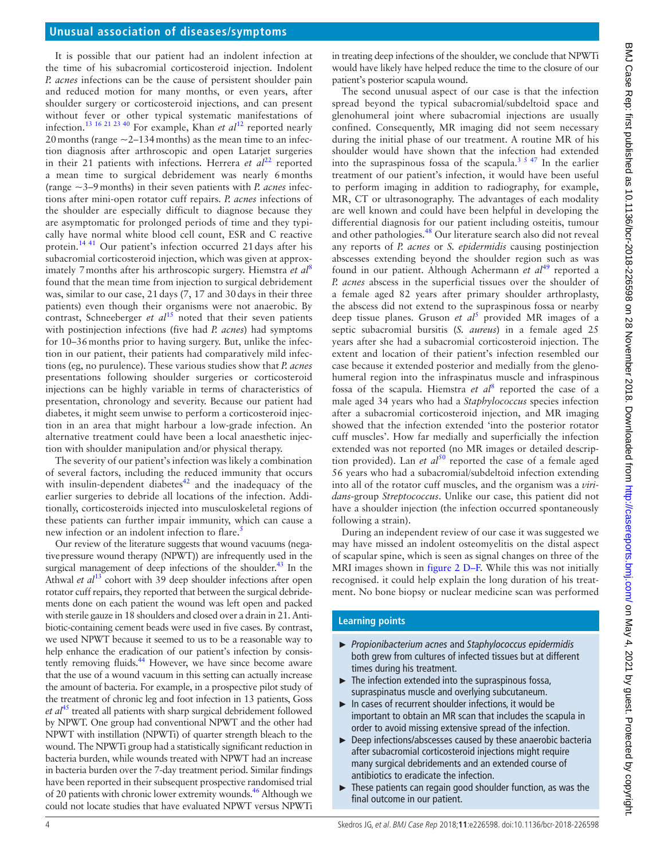# **Unusual association of diseases/symptoms**

It is possible that our patient had an indolent infection at the time of his subacromial corticosteroid injection. Indolent *P. acnes* infections can be the cause of persistent shoulder pain and reduced motion for many months, or even years, after shoulder surgery or corticosteroid injections, and can present without fever or other typical systematic manifestations of infection.[13 16 21 23 40](#page-4-8) For example, Khan *et al*[12](#page-4-18) reported nearly 20 months (range  $\sim$  2–134 months) as the mean time to an infection diagnosis after arthroscopic and open Latarjet surgeries in their 21 patients with infections. Herrera *et*  $al^{22}$  reported a mean time to surgical debridement was nearly 6months (range ~3–9months) in their seven patients with *P. acnes* infections after mini-open rotator cuff repairs. *P. acnes* infections of the shoulder are especially difficult to diagnose because they are asymptomatic for prolonged periods of time and they typically have normal white blood cell count, ESR and C reactive protein.[14 41](#page-4-20) Our patient's infection occurred 21days after his subacromial corticosteroid injection, which was given at approximately 7months after his arthroscopic surgery. Hiemstra *et al*[8](#page-4-4) found that the mean time from injection to surgical debridement was, similar to our case, 21days (7, 17 and 30days in their three patients) even though their organisms were not anaerobic. By contrast, Schneeberger *et al*<sup>[15](#page-4-21)</sup> noted that their seven patients with postinjection infections (five had *P. acnes*) had symptoms for 10–36months prior to having surgery. But, unlike the infection in our patient, their patients had comparatively mild infections (eg, no purulence). These various studies show that *P. acnes* presentations following shoulder surgeries or corticosteroid injections can be highly variable in terms of characteristics of presentation, chronology and severity. Because our patient had diabetes, it might seem unwise to perform a corticosteroid injection in an area that might harbour a low-grade infection. An alternative treatment could have been a local anaesthetic injection with shoulder manipulation and/or physical therapy.

The severity of our patient's infection was likely a combination of several factors, including the reduced immunity that occurs with insulin-dependent diabetes $42$  and the inadequacy of the earlier surgeries to debride all locations of the infection. Additionally, corticosteroids injected into musculoskeletal regions of these patients can further impair immunity, which can cause a new infection or an indolent infection to flare.<sup>5</sup>

Our review of the literature suggests that wound vacuums (negativepressure wound therapy (NPWT)) are infrequently used in the surgical management of deep infections of the shoulder. $43$  In the Athwal *et al*<sup>13</sup> cohort with 39 deep shoulder infections after open rotator cuff repairs, they reported that between the surgical debridements done on each patient the wound was left open and packed with sterile gauze in 18 shoulders and closed over a drain in 21. Antibiotic-containing cement beads were used in five cases. By contrast, we used NPWT because it seemed to us to be a reasonable way to help enhance the eradication of our patient's infection by consistently removing fluids.<sup>44</sup> However, we have since become aware that the use of a wound vacuum in this setting can actually increase the amount of bacteria. For example, in a prospective pilot study of the treatment of chronic leg and foot infection in 13 patients, Goss et al<sup>45</sup> treated all patients with sharp surgical debridement followed by NPWT. One group had conventional NPWT and the other had NPWT with instillation (NPWTi) of quarter strength bleach to the wound. The NPWTi group had a statistically significant reduction in bacteria burden, while wounds treated with NPWT had an increase in bacteria burden over the 7-day treatment period. Similar findings have been reported in their subsequent prospective randomised trial of 20 patients with chronic lower extremity wounds.<sup>46</sup> Although we could not locate studies that have evaluated NPWT versus NPWTi

in treating deep infections of the shoulder, we conclude that NPWTi would have likely have helped reduce the time to the closure of our patient's posterior scapula wound.

The second unusual aspect of our case is that the infection spread beyond the typical subacromial/subdeltoid space and glenohumeral joint where subacromial injections are usually confined. Consequently, MR imaging did not seem necessary during the initial phase of our treatment. A routine MR of his shoulder would have shown that the infection had extended into the supraspinous fossa of the scapula[.3 5 47](#page-4-2) In the earlier treatment of our patient's infection, it would have been useful to perform imaging in addition to radiography, for example, MR, CT or ultrasonography. The advantages of each modality are well known and could have been helpful in developing the differential diagnosis for our patient including osteitis, tumour and other pathologies.[48](#page-4-27) Our literature search also did not reveal any reports of *P. acnes* or *S. epidermidis* causing postinjection abscesses extending beyond the shoulder region such as was found in our patient. Although Achermann *et al*[49](#page-4-28) reported a *P. acnes* abscess in the superficial tissues over the shoulder of a female aged 82 years after primary shoulder arthroplasty, the abscess did not extend to the supraspinous fossa or nearby deep tissue planes. Gruson *et al*[5](#page-4-7) provided MR images of a septic subacromial bursitis (*S. aureus*) in a female aged 25 years after she had a subacromial corticosteroid injection. The extent and location of their patient's infection resembled our case because it extended posterior and medially from the glenohumeral region into the infraspinatus muscle and infraspinous fossa of the scapula. Hiemstra et al<sup>[8](#page-4-4)</sup> reported the case of a male aged 34 years who had a *Staphylococcus* species infection after a subacromial corticosteroid injection, and MR imaging showed that the infection extended 'into the posterior rotator cuff muscles'. How far medially and superficially the infection extended was not reported (no MR images or detailed description provided). Lan *et al*<sup>50</sup> reported the case of a female aged 56 years who had a subacromial/subdeltoid infection extending into all of the rotator cuff muscles, and the organism was a *viridans*-group *Streptococcus*. Unlike our case, this patient did not have a shoulder injection (the infection occurred spontaneously following a strain).

During an independent review of our case it was suggested we may have missed an indolent osteomyelitis on the distal aspect of scapular spine, which is seen as signal changes on three of the MRI images shown in figure [2 D–F](#page-2-0). While this was not initially recognised. it could help explain the long duration of his treatment. No bone biopsy or nuclear medicine scan was performed

### **Learning points**

- ► *Propionibacterium acnes* and *Staphylococcus epidermidis* both grew from cultures of infected tissues but at different times during his treatment.
- ► The infection extended into the supraspinous fossa, supraspinatus muscle and overlying subcutaneum.
- In cases of recurrent shoulder infections, it would be important to obtain an MR scan that includes the scapula in order to avoid missing extensive spread of the infection.
- ► Deep infections/abscesses caused by these anaerobic bacteria after subacromial corticosteroid injections might require many surgical debridements and an extended course of antibiotics to eradicate the infection.
- ► These patients can regain good shoulder function, as was the final outcome in our patient.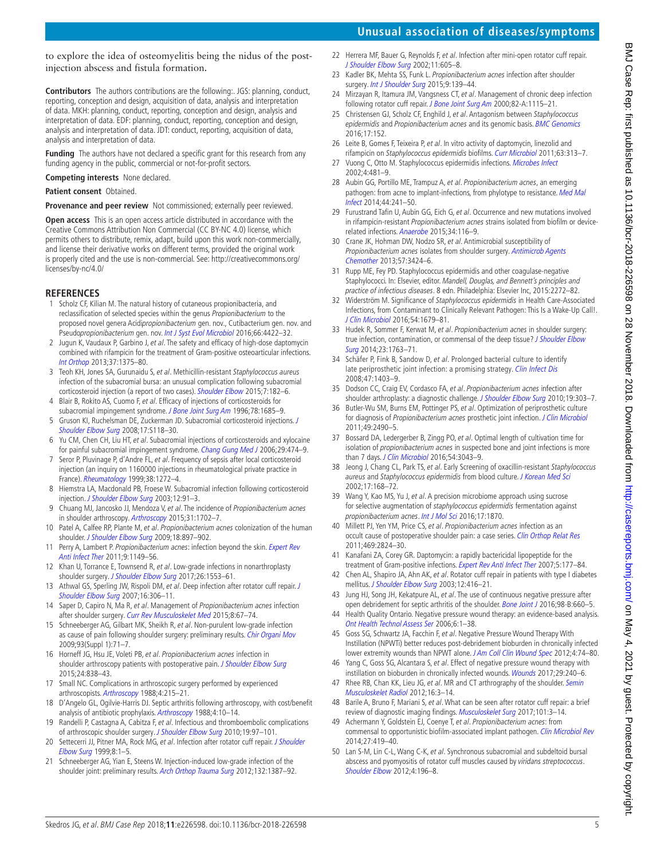# **Unusual association of diseases/symptoms**

to explore the idea of osteomyelitis being the nidus of the postinjection abscess and fistula formation.

**Contributors** The authors contributions are the following:. JGS: planning, conduct, reporting, conception and design, acquisition of data, analysis and interpretation of data. MKH: planning, conduct, reporting, conception and design, analysis and interpretation of data. EDF: planning, conduct, reporting, conception and design, analysis and interpretation of data. JDT: conduct, reporting, acquisition of data, analysis and interpretation of data.

**Funding** The authors have not declared a specific grant for this research from any funding agency in the public, commercial or not-for-profit sectors.

**Competing interests** None declared.

#### **Patient consent** Obtained.

**Provenance and peer review** Not commissioned; externally peer reviewed.

**Open access** This is an open access article distributed in accordance with the Creative Commons Attribution Non Commercial (CC BY-NC 4.0) license, which permits others to distribute, remix, adapt, build upon this work non-commercially, and license their derivative works on different terms, provided the original work is properly cited and the use is non-commercial. See: [http://creativecommons.org/](http://creativecommons.org/licenses/by-nc/4.0/) [licenses/by-nc/4.0/](http://creativecommons.org/licenses/by-nc/4.0/)

#### **References**

- <span id="page-4-0"></span>1 Scholz CF, Kilian M. The natural history of cutaneous propionibacteria, and reclassification of selected species within the genus Propionibacterium to the proposed novel genera Acidipropionibacterium gen. nov., Cutibacterium gen. nov. and Pseudopropionibacterium gen. nov. [Int J Syst Evol Microbiol](http://dx.doi.org/10.1099/ijsem.0.001367) 2016;66:4422-32.
- <span id="page-4-1"></span>2 Jugun K, Vaudaux P, Garbino J, et al. The safety and efficacy of high-dose daptomycin combined with rifampicin for the treatment of Gram-positive osteoarticular infections. [Int Orthop](http://dx.doi.org/10.1007/s00264-013-1856-y) 2013;37:1375–80.
- <span id="page-4-2"></span>3 Teoh KH, Jones SA, Gurunaidu S, et al. Methicillin-resistant Staphylococcus aureus infection of the subacromial bursa: an unusual complication following subacromial corticosteroid injection (a report of two cases). [Shoulder Elbow](http://dx.doi.org/10.1177/1758573214557148) 2015;7:182-6.
- 4 Blair B, Rokito AS, Cuomo F, et al. Efficacy of injections of corticosteroids for subacromial impingement syndrome. [J Bone Joint Surg Am](http://dx.doi.org/10.2106/00004623-199611000-00007) 1996;78:1685-9.
- <span id="page-4-7"></span>5 Gruson KI, Ruchelsman DE, Zuckerman JD. Subacromial corticosteroid injections. [J](http://dx.doi.org/10.1016/j.jse.2007.07.009)  [Shoulder Elbow Surg](http://dx.doi.org/10.1016/j.jse.2007.07.009) 2008;17:S118–30.
- 6 Yu CM, Chen CH, Liu HT, et al. Subacromial injections of corticosteroids and xylocaine for painful subacromial impingement syndrome. [Chang Gung Med J](http://www.ncbi.nlm.nih.gov/pubmed/17214391) 2006;29:474–9.
- <span id="page-4-3"></span>7 Seror P, Pluvinage P, d'Andre FL, et al. Frequency of sepsis after local corticosteroid injection (an inquiry on 1160000 injections in rheumatological private practice in France). [Rheumatology](http://dx.doi.org/10.1093/rheumatology/38.12.1272) 1999;38:1272–4.
- <span id="page-4-4"></span>8 Hiemstra LA, Macdonald PB, Froese W. Subacromial infection following corticosteroid injection. [J Shoulder Elbow Surg](http://dx.doi.org/10.1067/mse.2003.127299) 2003;12:91-3.
- <span id="page-4-5"></span>9 Chuang MJ, Jancosko JJ, Mendoza V, et al. The incidence of Propionibacterium acnes in shoulder arthroscopy. [Arthroscopy](http://dx.doi.org/10.1016/j.arthro.2015.01.029) 2015;31:1702–7.
- <span id="page-4-12"></span>10 Patel A, Calfee RP, Plante M, et al. Propionibacterium acnes colonization of the human shoulder. [J Shoulder Elbow Surg](http://dx.doi.org/10.1016/j.jse.2009.01.023) 2009;18:897-902.
- <span id="page-4-6"></span>11 Perry A, Lambert P. Propionibacterium acnes: infection beyond the skin. Expert Rev [Anti Infect Ther](http://dx.doi.org/10.1586/eri.11.137) 2011;9:1149–56.
- <span id="page-4-18"></span>12 Khan U, Torrance E, Townsend R, et al. Low-grade infections in nonarthroplasty shoulder surgery. [J Shoulder Elbow Surg](http://dx.doi.org/10.1016/j.jse.2017.01.008) 2017;26:1553–61.
- <span id="page-4-8"></span>13 Athwal GS, Sperling JW, Rispoli DM, et al. Deep infection after rotator cuff repair. J [Shoulder Elbow Surg](http://dx.doi.org/10.1016/j.jse.2006.05.013) 2007;16:306-11.
- <span id="page-4-20"></span>14 Saper D, Capiro N, Ma R, et al. Management of Propionibacterium acnes infection after shoulder surgery. [Curr Rev Musculoskelet Med](http://dx.doi.org/10.1007/s12178-014-9256-5) 2015;8:67–74.
- <span id="page-4-21"></span>15 Schneeberger AG, Gilbart MK, Sheikh R, et al. Non-purulent low-grade infection as cause of pain following shoulder surgery: preliminary results. [Chir Organi Mov](http://dx.doi.org/10.1007/s12306-009-0010-x) 2009;93(Suppl 1):71–7.
- <span id="page-4-10"></span>16 Horneff JG, Hsu JE, Voleti PB, et al. Propionibacterium acnes infection in shoulder arthroscopy patients with postoperative pain. [J Shoulder Elbow Surg](http://dx.doi.org/10.1016/j.jse.2015.03.008) 2015;24:838–43.
- 17 Small NC. Complications in arthroscopic surgery performed by experienced arthroscopists. [Arthroscopy](http://dx.doi.org/10.1016/S0749-8063(88)80030-6) 1988;4:215–21.
- 18 D'Angelo GL, Ogilvie-Harris DJ. Septic arthritis following arthroscopy, with cost/benefit analysis of antibiotic prophylaxis. [Arthroscopy](http://dx.doi.org/10.1016/S0749-8063(88)80004-5) 1988;4:10-14.
- 19 Randelli P, Castagna A, Cabitza F, et al. Infectious and thromboembolic complications of arthroscopic shoulder surgery. [J Shoulder Elbow Surg](http://dx.doi.org/10.1016/j.jse.2009.04.009) 2010;19:97-101.
- 20 Settecerri JJ, Pitner MA, Rock MG, et al. Infection after rotator cuff repair. J Shoulder [Elbow Surg](http://dx.doi.org/10.1016/S1058-2746(99)90045-9) 1999;8:1–5.
- <span id="page-4-11"></span>21 Schneeberger AG, Yian E, Steens W. Injection-induced low-grade infection of the shoulder joint: preliminary results. [Arch Orthop Trauma Surg](http://dx.doi.org/10.1007/s00402-012-1562-z) 2012;132:1387-92.
- <span id="page-4-9"></span>22 Herrera MF, Bauer G, Reynolds F, et al. Infection after mini-open rotator cuff repair. [J Shoulder Elbow Surg](http://dx.doi.org/10.1067/mse.2002.127302) 2002;11:605–8.
- 23 Kadler BK, Mehta SS, Funk L. Propionibacterium acnes infection after shoulder surgery. [Int J Shoulder Surg](http://dx.doi.org/10.4103/0973-6042.167957) 2015;9:139-44.
- 24 Mirzayan R, Itamura JM, Vangsness CT, et al. Management of chronic deep infection following rotator cuff repair. [J Bone Joint Surg Am](http://dx.doi.org/10.2106/00004623-200008000-00008) 2000;82-A:1115-21.
- <span id="page-4-19"></span>25 Christensen GJ, Scholz CF, Enghild J, et al. Antagonism between Staphylococcus epidermidis and Propionibacterium acnes and its genomic basis. [BMC Genomics](http://dx.doi.org/10.1186/s12864-016-2489-5) 2016;17:152.
- <span id="page-4-13"></span>26 Leite B, Gomes F, Teixeira P, et al. In vitro activity of daptomycin, linezolid and rifampicin on Staphylococcus epidermidis biofilms. [Curr Microbiol](http://dx.doi.org/10.1007/s00284-011-9980-7) 2011;63:313–7.
- <span id="page-4-14"></span>27 Vuong C, Otto M. Staphylococcus epidermidis infections. [Microbes Infect](http://dx.doi.org/10.1016/S1286-4579(02)01563-0) 2002;4:481–9.
- <span id="page-4-15"></span>28 Aubin GG, Portillo ME, Trampuz A, et al. Propionibacterium acnes, an emerging pathogen: from acne to implant-infections, from phylotype to resistance. Med Mal [Infect](http://dx.doi.org/10.1016/j.medmal.2014.02.004) 2014;44:241–50.
- 29 Furustrand Tafin U, Aubin GG, Eich G, et al. Occurrence and new mutations involved in rifampicin-resistant *Propionibacterium acnes* strains isolated from biofilm or devicerelated infections. [Anaerobe](http://dx.doi.org/10.1016/j.anaerobe.2015.05.003) 2015;34:116–9.
- 30 Crane JK, Hohman DW, Nodzo SR, et al. Antimicrobial susceptibility of Propionibacterium acnes isolates from shoulder surgery. Antimicrob Agents [Chemother](http://dx.doi.org/10.1128/AAC.00463-13) 2013;57:3424–6.
- 31 Rupp ME, Fey PD. Staphylococcus epidermidis and other coagulase-negative Staphylococci. In: Elsevier, editor. Mandell, Douglas, and Bennett's principles and practice of infectious diseases. 8 edn. Philadelphia: Elsevier Inc, 2015:2272–82.
- <span id="page-4-16"></span>32 Widerström M. Significance of Staphylococcus epidermidis in Health Care-Associated Infections, from Contaminant to Clinically Relevant Pathogen: This Is a Wake-Up Call!. [J Clin Microbiol](http://dx.doi.org/10.1128/JCM.00743-16) 2016;54:1679–81.
- 33 Hudek R, Sommer F, Kerwat M, et al. Propionibacterium acnes in shoulder surgery: true infection, contamination, or commensal of the deep tissue? J Shoulder Elbow [Surg](http://dx.doi.org/10.1016/j.jse.2014.05.024) 2014;23:1763–71.
- <span id="page-4-17"></span>34 Schäfer P, Fink B, Sandow D, et al. Prolonged bacterial culture to identify late periprosthetic joint infection: a promising strategy. [Clin Infect Dis](http://dx.doi.org/10.1086/592973) 2008;47:1403–9.
- 35 Dodson CC, Craig EV, Cordasco FA, et al. Propionibacterium acnes infection after shoulder arthroplasty: a diagnostic challenge. [J Shoulder Elbow Surg](http://dx.doi.org/10.1016/j.jse.2009.07.065) 2010;19:303-7.
- 36 Butler-Wu SM, Burns EM, Pottinger PS, et al. Optimization of periprosthetic culture for diagnosis of Propionibacterium acnes prosthetic joint infection. [J Clin Microbiol](http://dx.doi.org/10.1128/JCM.00450-11) 2011;49:2490–5.
- 37 Bossard DA, Ledergerber B, Zingg PO, et al. Optimal length of cultivation time for isolation of *propionibacterium acnes* in suspected bone and joint infections is more than 7 days. [J Clin Microbiol](http://dx.doi.org/10.1128/JCM.01435-16) 2016;54:3043-9.
- 38 Jeong J, Chang CL, Park TS, et al. Early Screening of oxacillin-resistant Staphylococcus aureus and Staphylococcus epidermidis from blood culture. [J Korean Med Sci](http://dx.doi.org/10.3346/jkms.2002.17.2.168) 2002;17:168–72.
- 39 Wang Y, Kao MS, Yu J, et al. A precision microbiome approach using sucrose for selective augmentation of staphylococcus epidermidis fermentation against propionibacterium acnes. [Int J Mol Sci](http://dx.doi.org/10.3390/ijms17111870) 2016;17:1870.
- 40 Millett PJ, Yen YM, Price CS, et al. Propionibacterium acnes infection as an occult cause of postoperative shoulder pain: a case series. [Clin Orthop Relat Res](http://dx.doi.org/10.1007/s11999-011-1767-4) 2011;469:2824–30.
- 41 Kanafani ZA, Corey GR. Daptomycin: a rapidly bactericidal lipopeptide for the treatment of Gram-positive infections. [Expert Rev Anti Infect Ther](http://dx.doi.org/10.1586/14787210.5.2.177) 2007;5:177-84.
- <span id="page-4-22"></span>42 Chen AL, Shapiro JA, Ahn AK, et al. Rotator cuff repair in patients with type I diabetes mellitus. [J Shoulder Elbow Surg](http://dx.doi.org/10.1016/S1058-2746(03)00172-1) 2003;12:416–21.
- <span id="page-4-23"></span>43 Jung HJ, Song JH, Kekatpure AL, et al. The use of continuous negative pressure after open debridement for septic arthritis of the shoulder. [Bone Joint J](http://dx.doi.org/10.1302/0301-620X.98B5.36720) 2016;98-B:660-5.
- <span id="page-4-24"></span>44 Health Quality Ontario. Negative pressure wound therapy: an evidence-based analysis. [Ont Health Technol Assess Ser](http://www.ncbi.nlm.nih.gov/pubmed/23074484) 2006;6:1–38.
- <span id="page-4-25"></span>45 Goss SG, Schwartz JA, Facchin F, et al. Negative Pressure Wound Therapy With Instillation (NPWTi) better reduces post-debridement bioburden in chronically infected lower extremity wounds than NPWT alone. JAm Coll Clin Wound Spec 2012;4:74-80.
- <span id="page-4-26"></span>46 Yang C, Goss SG, Alcantara S, et al. Effect of negative pressure wound therapy with instillation on bioburden in chronically infected wounds. [Wounds](http://www.ncbi.nlm.nih.gov/pubmed/28570250) 2017;29:240-6.
- 47 Rhee RB, Chan KK, Lieu JG, et al. MR and CT arthrography of the shoulder. Semin [Musculoskelet Radiol](http://dx.doi.org/10.1055/s-0032-1304297) 2012;16:3–14.
- <span id="page-4-27"></span>48 Barile A, Bruno F, Mariani S, et al. What can be seen after rotator cuff repair: a brief review of diagnostic imaging findings. [Musculoskelet Surg](http://dx.doi.org/10.1007/s12306-017-0455-2) 2017;101:3–14.
- <span id="page-4-28"></span>49 Achermann Y, Goldstein EJ, Coenye T, et al. Propionibacterium acnes: from commensal to opportunistic biofilm-associated implant pathogen. [Clin Microbiol Rev](http://dx.doi.org/10.1128/CMR.00092-13) 2014;27:419–40.
- <span id="page-4-29"></span>50 Lan S-M, Lin C-L, Wang C-K, et al. Synchronous subacromial and subdeltoid bursal abscess and pyomyositis of rotator cuff muscles caused by viridans streptococcus. [Shoulder Elbow](http://dx.doi.org/10.1111/j.1758-5740.2012.00190.x) 2012;4:196–8.